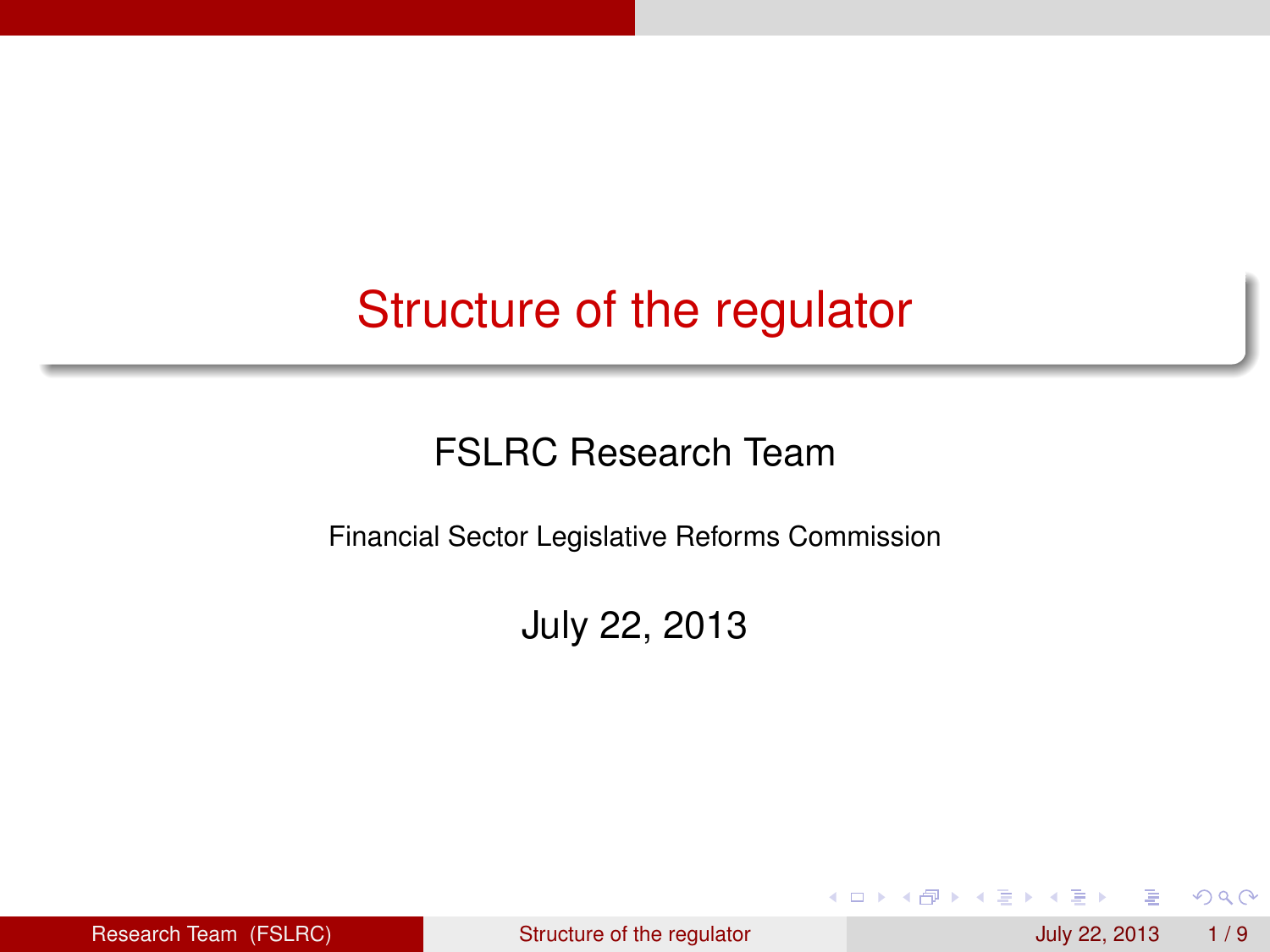#### Structure of the regulator

#### FSLRC Research Team

Financial Sector Legislative Reforms Commission

July 22, 2013

Research Team (FSLRC) [Structure of the regulator](#page-15-0) July 22, 2013 1/9

**B** K

<span id="page-0-0"></span> $299$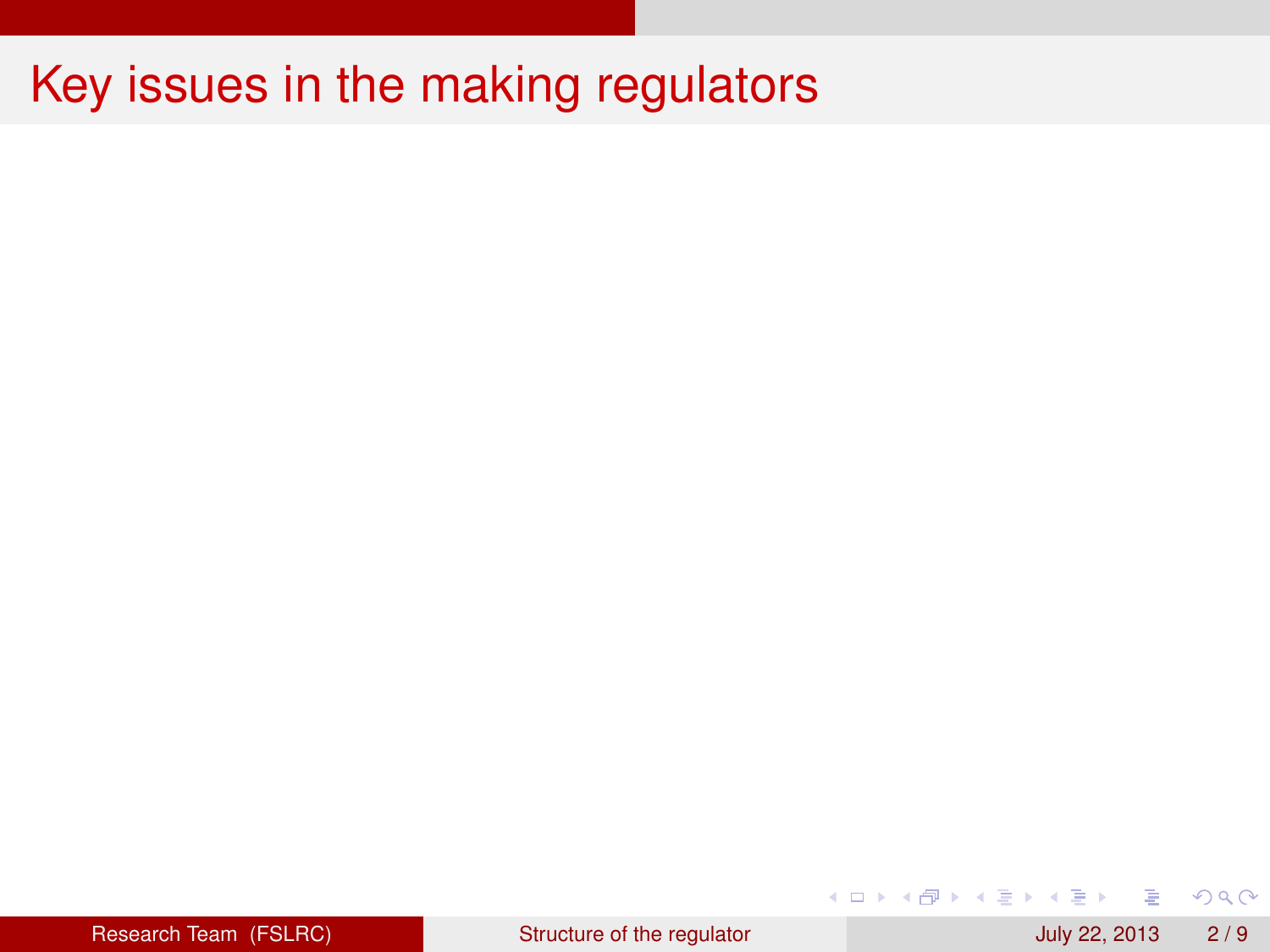| Research Team (FSLRC) |  |
|-----------------------|--|
|                       |  |
|                       |  |
|                       |  |

 $299$ 

重

4 ロ ト ィ *同* ト

 $\sim$ 경어 ×.  $\rightarrow$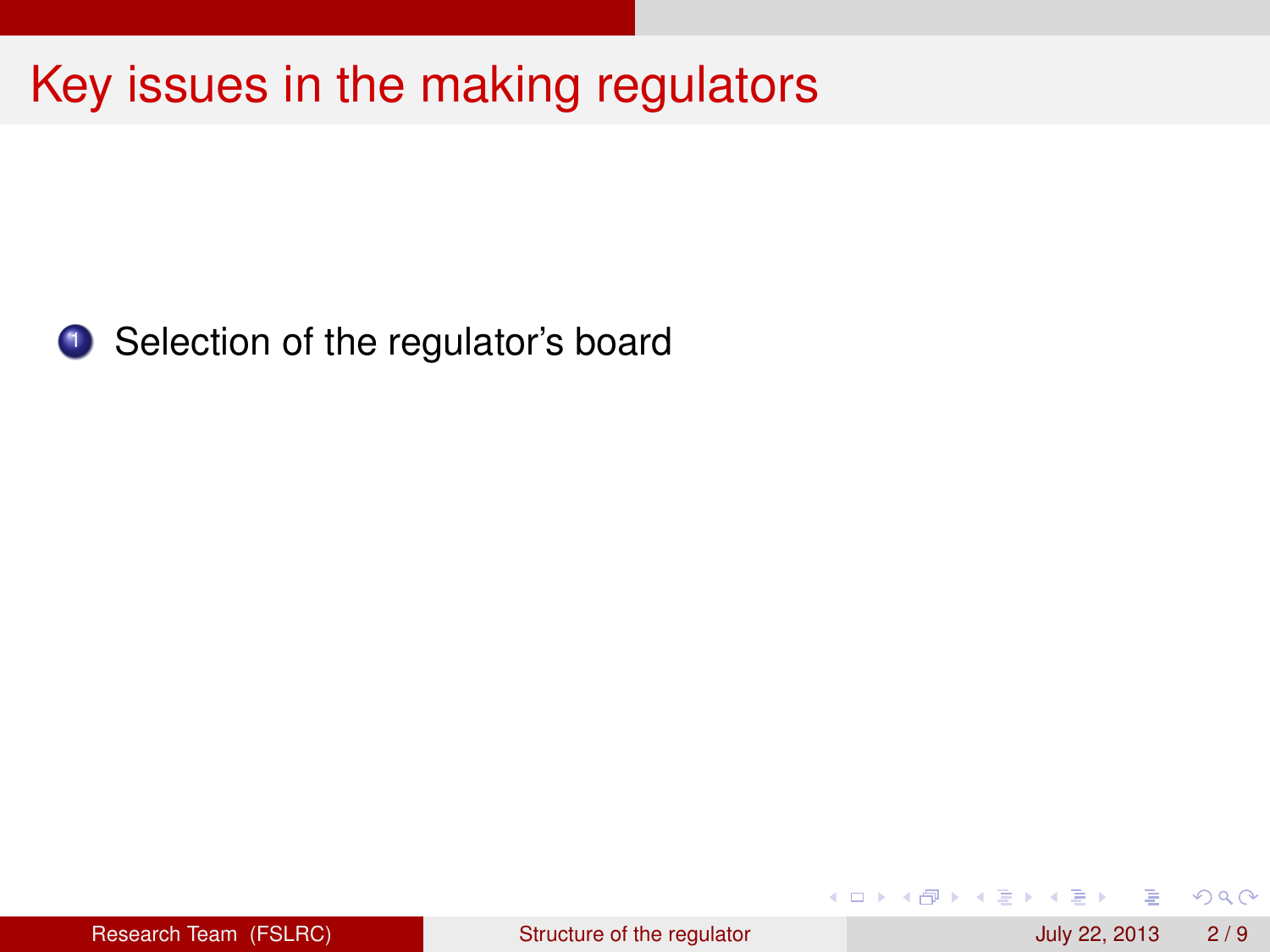

<sup>1</sup> Selection of the regulator's board

 $299$ 

重

4 ロ ト ィ *同* ト

 $\sim$ **B** K 14.1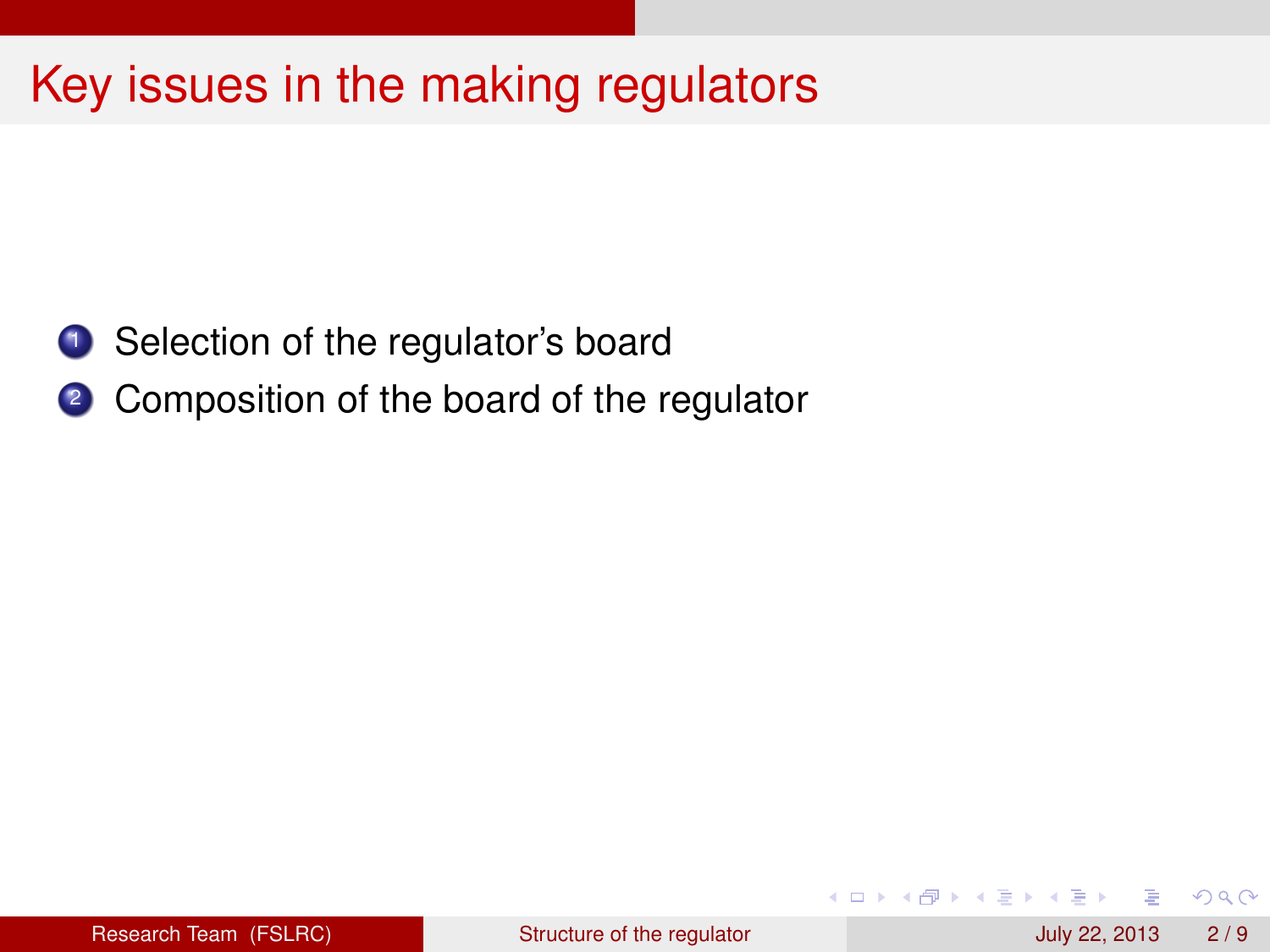- <sup>1</sup> Selection of the regulator's board
- 2 Composition of the board of the regulator

4 0 8 1  $\overline{AB}$   $\Omega$ 

E K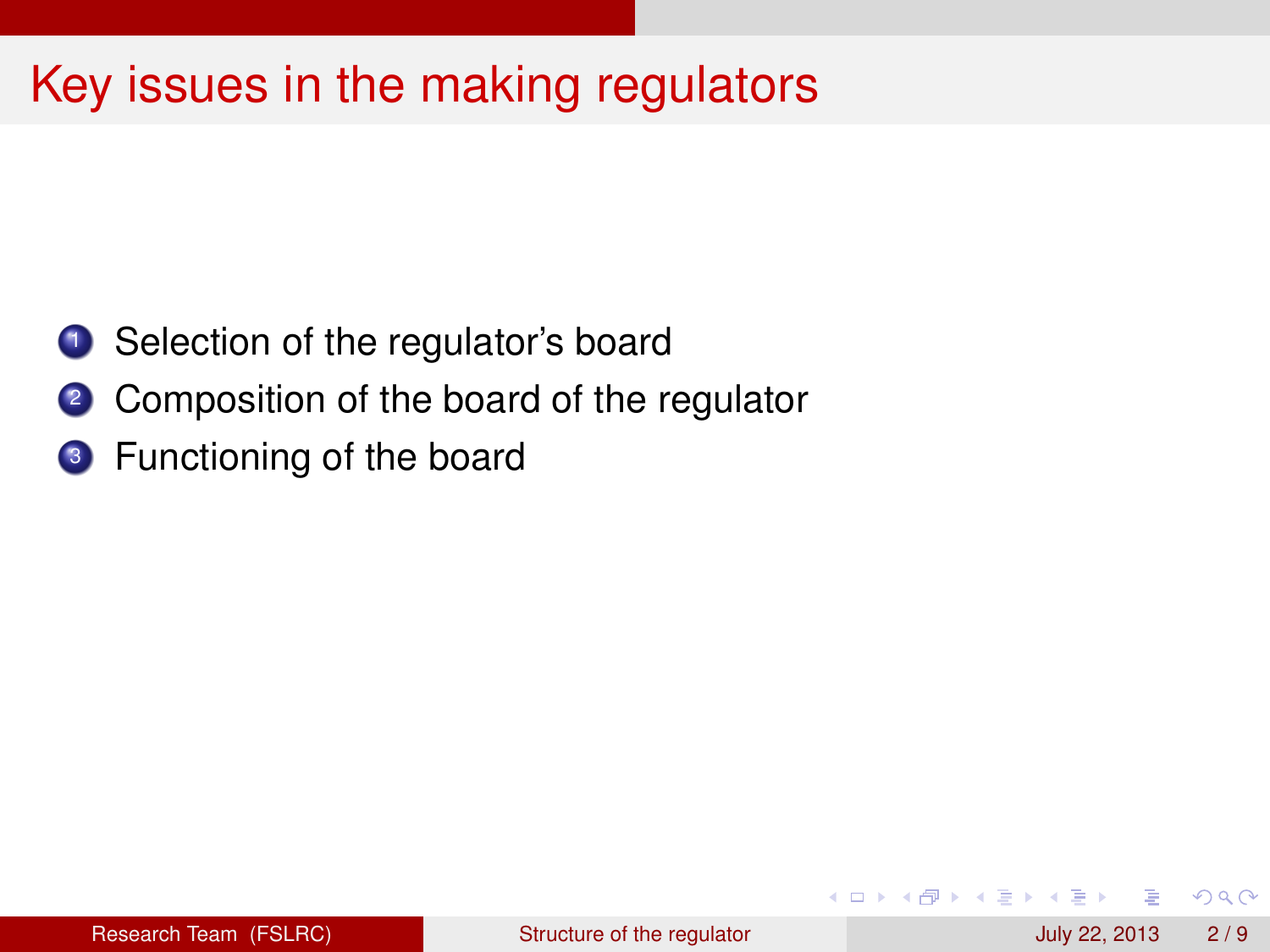- <sup>1</sup> Selection of the regulator's board
- 2 Composition of the board of the regulator
- <sup>3</sup> Functioning of the board

4 0 8 1

 $\leftarrow$   $\Box$ 

**B** K ÷.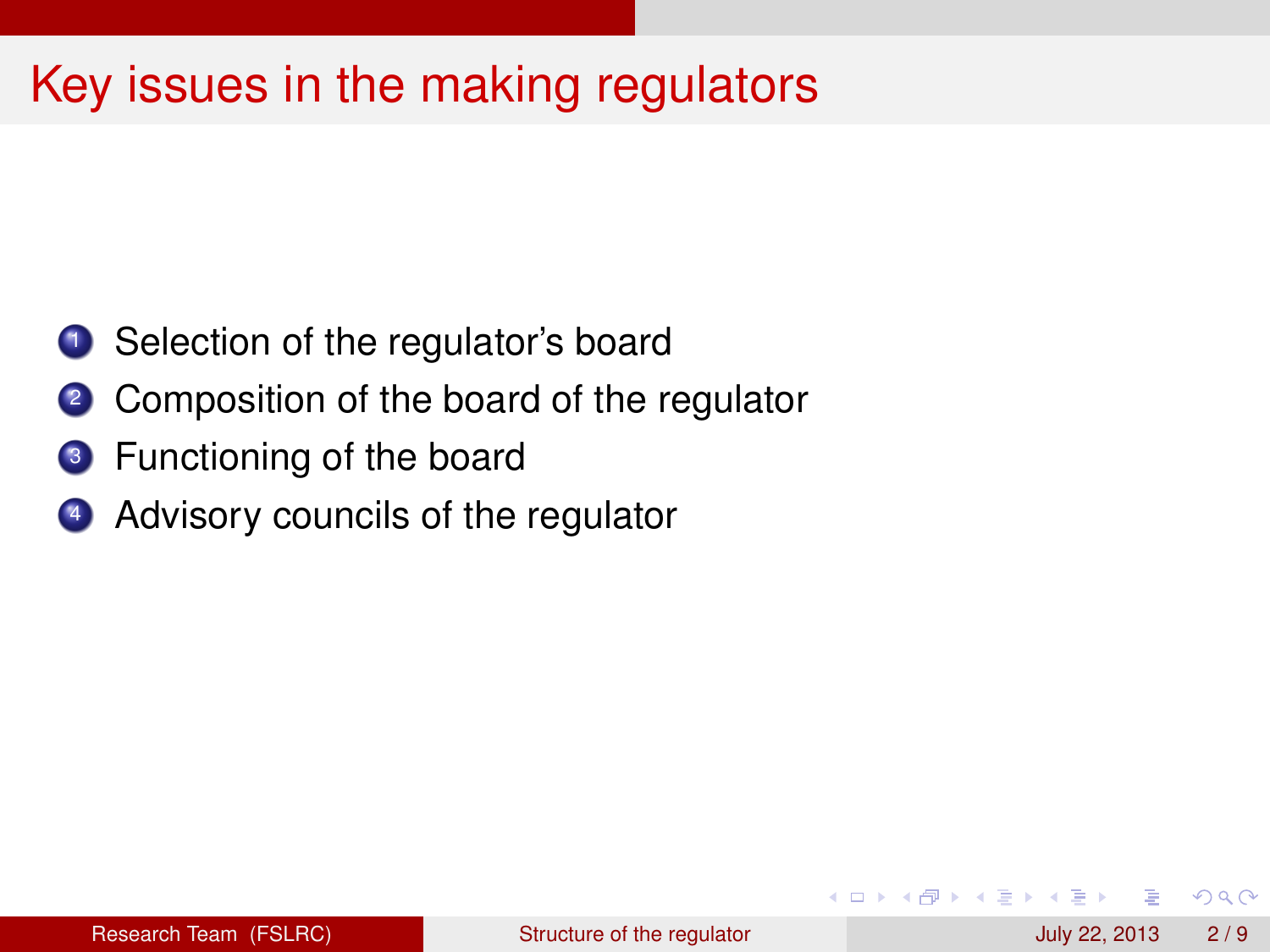- <sup>1</sup> Selection of the regulator's board
- 2 Composition of the board of the regulator
- <sup>3</sup> Functioning of the board
- <sup>4</sup> Advisory councils of the regulator

And in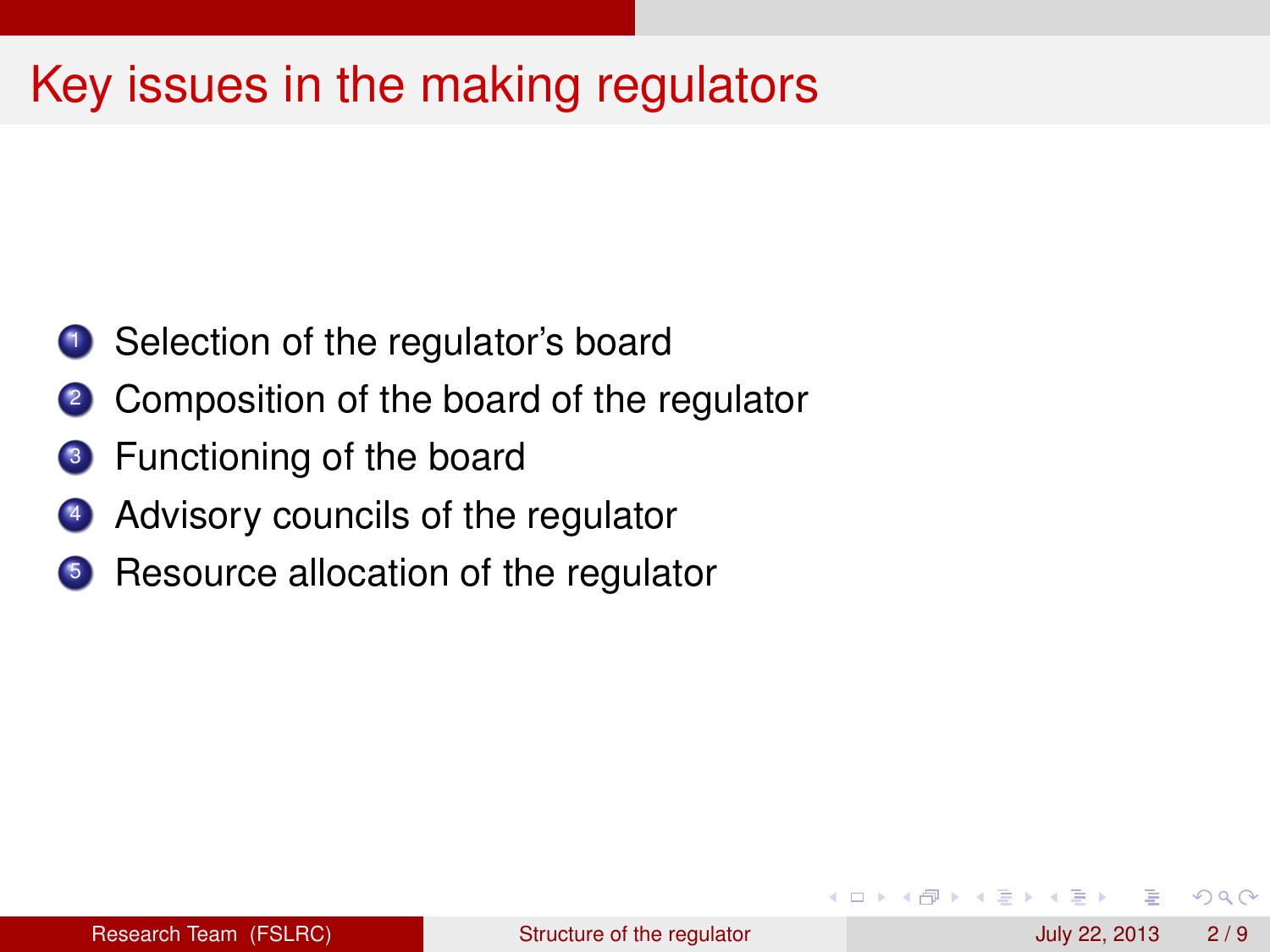- **1** Selection of the regulator's board
- 2 Composition of the board of the regulator
- <sup>3</sup> Functioning of the board
- <sup>4</sup> Advisory councils of the regulator
- **5** Resource allocation of the regulator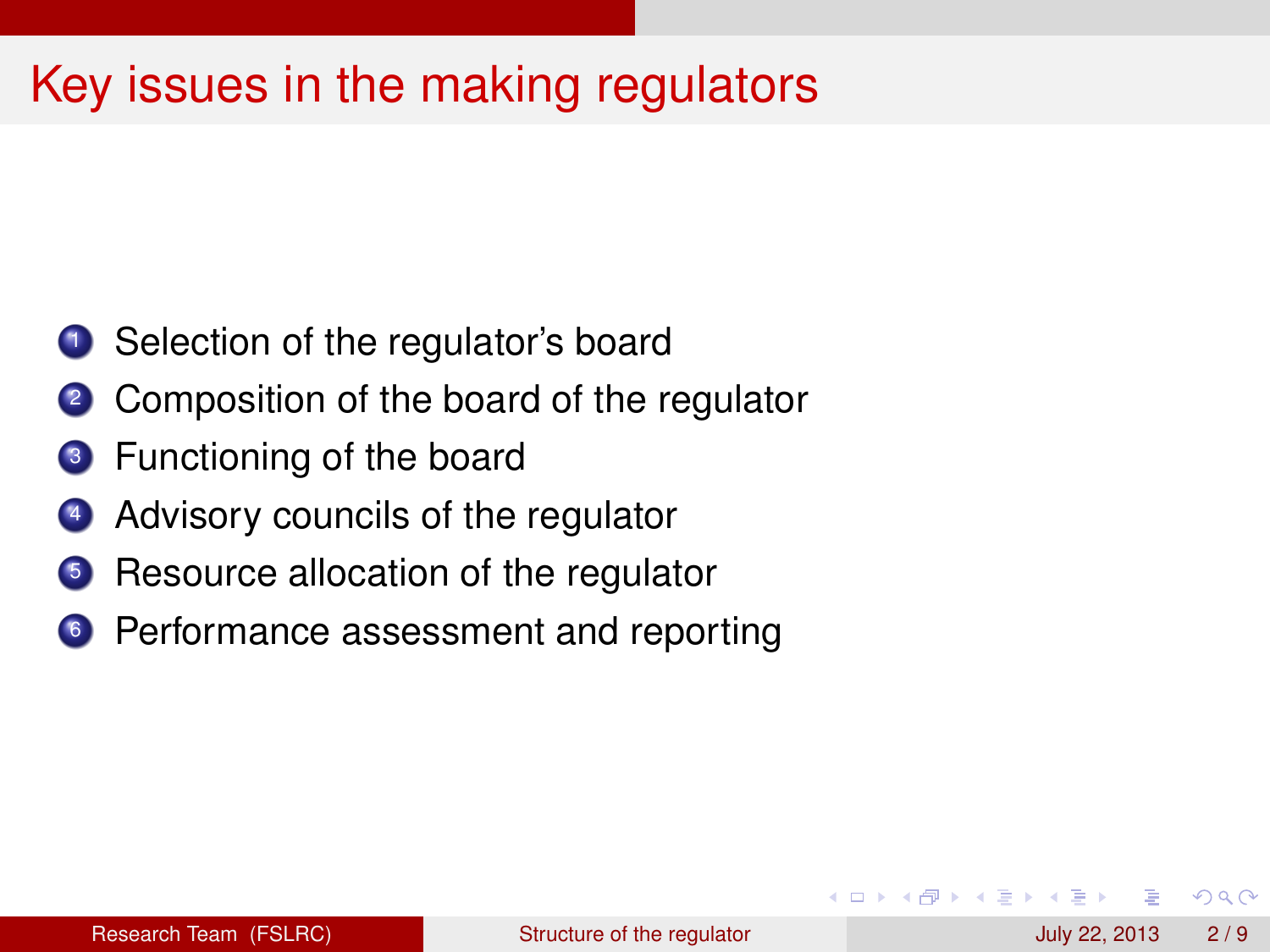- <sup>1</sup> Selection of the regulator's board
- <sup>2</sup> Composition of the board of the regulator
- <sup>3</sup> Functioning of the board
- <sup>4</sup> Advisory councils of the regulator
- Resource allocation of the regulator
- **6** Performance assessment and reporting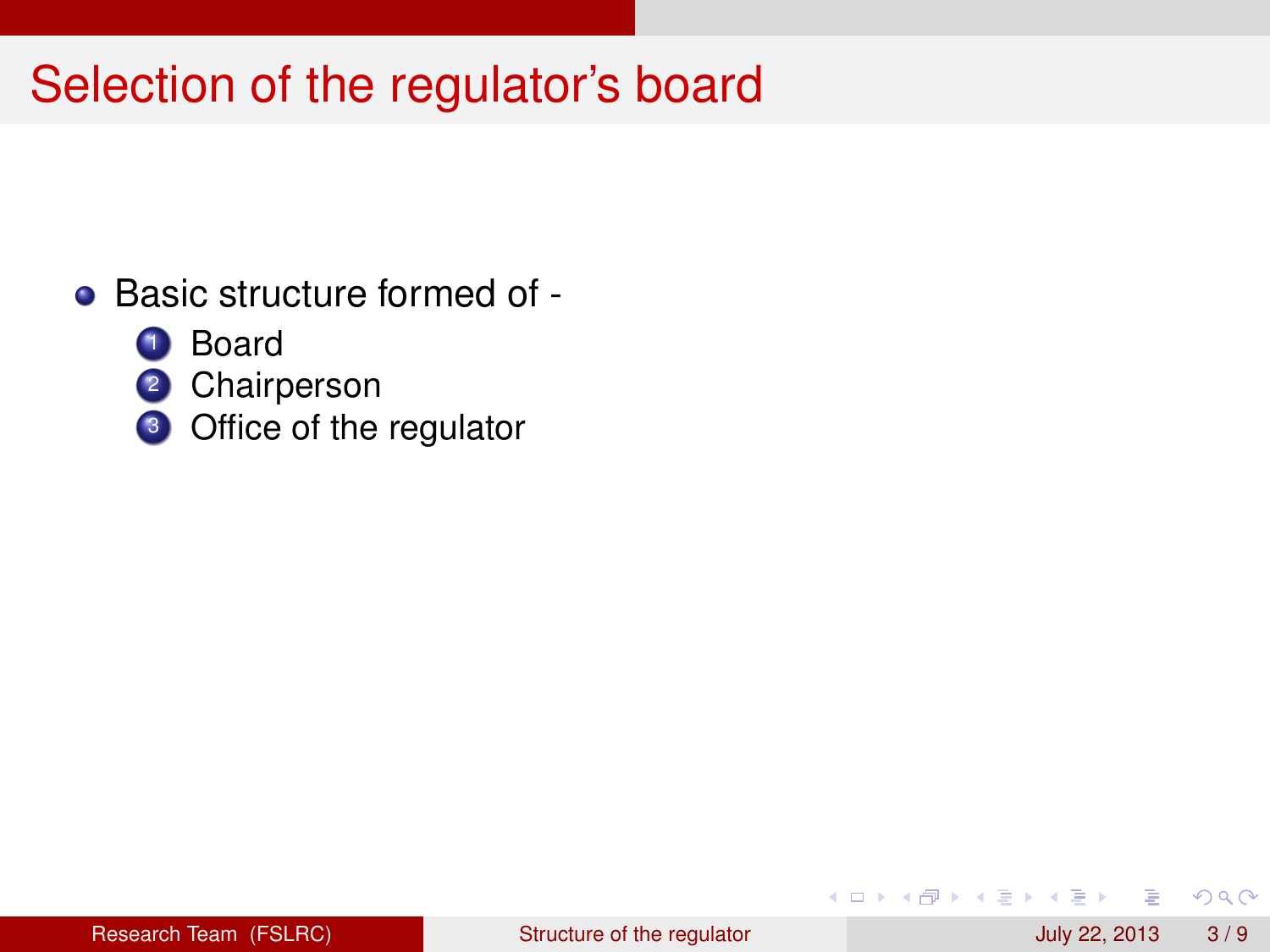# Selection of the regulator's board

- Basic structure formed of -
	- **1** Board
	- 2 Chairperson
	- <sup>3</sup> Office of the regulator

4 0 8 1  $\overline{AB}$   $QQ$ 

医下半面

 $\sim$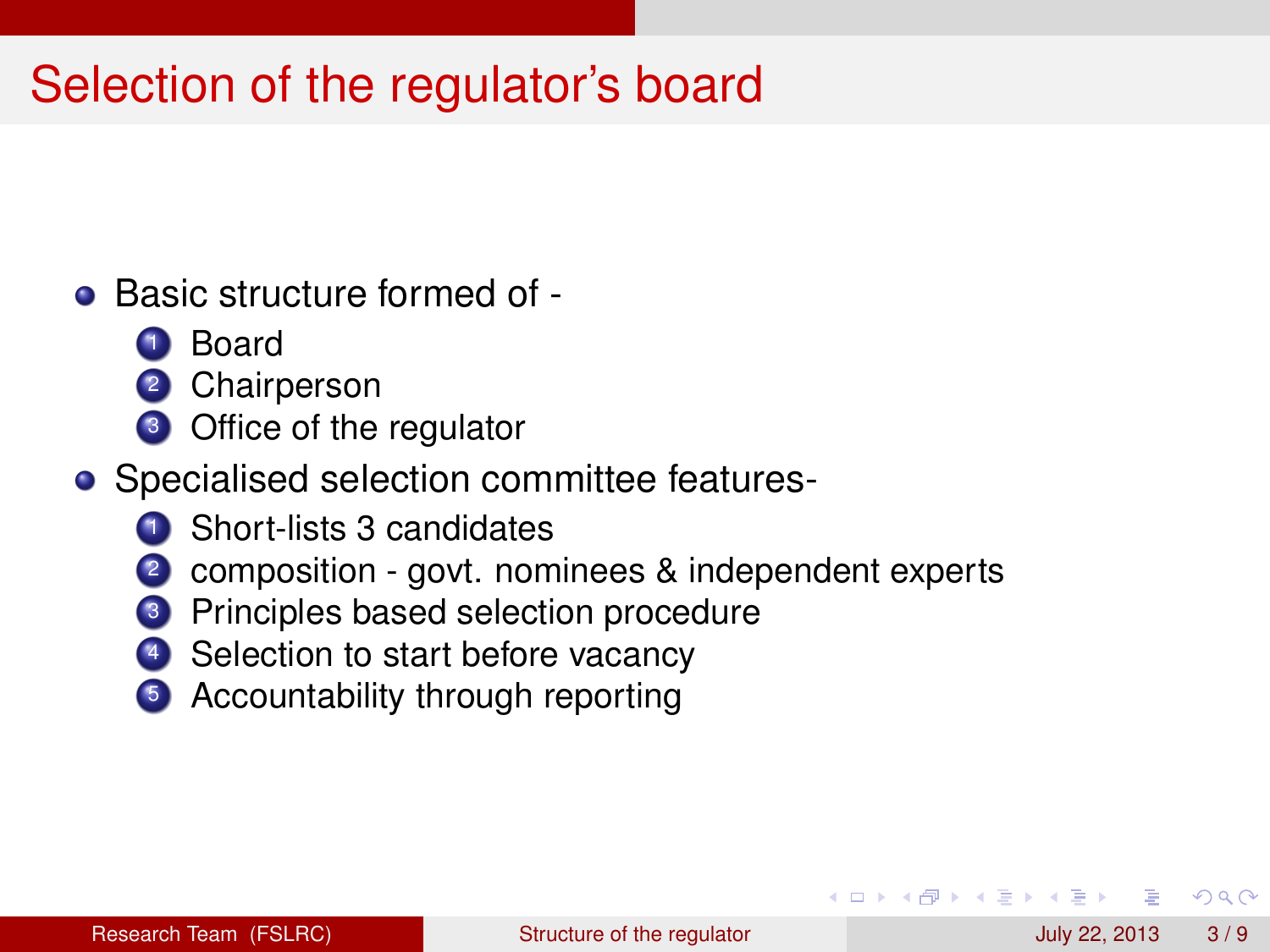# Selection of the regulator's board

- Basic structure formed of
	- <sup>1</sup> Board
	- 2 Chairperson
	- <sup>3</sup> Office of the regulator
- Specialised selection committee features-
	- <sup>1</sup> Short-lists 3 candidates
	- <sup>2</sup> composition govt. nominees & independent experts
	- Principles based selection procedure
	- Selection to start before vacancy
	- <sup>5</sup> Accountability through reporting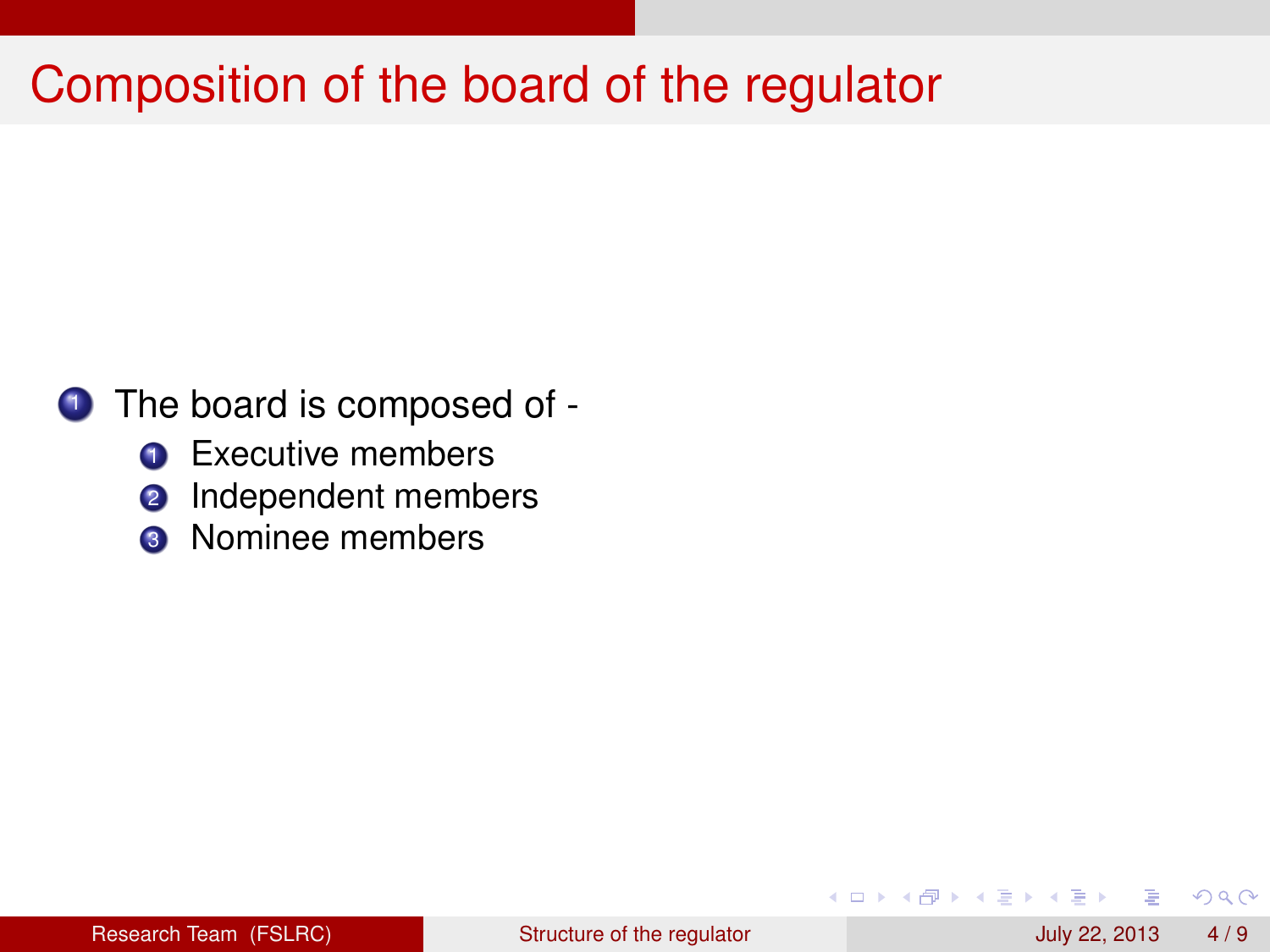# Composition of the board of the regulator

#### **1** The board is composed of -

- **1** Executive members
- 2 Independent members
- **3** Nominee members

a miller

 $\leftarrow$   $\leftarrow$   $\leftarrow$ 

 $\Omega$ 

医下半面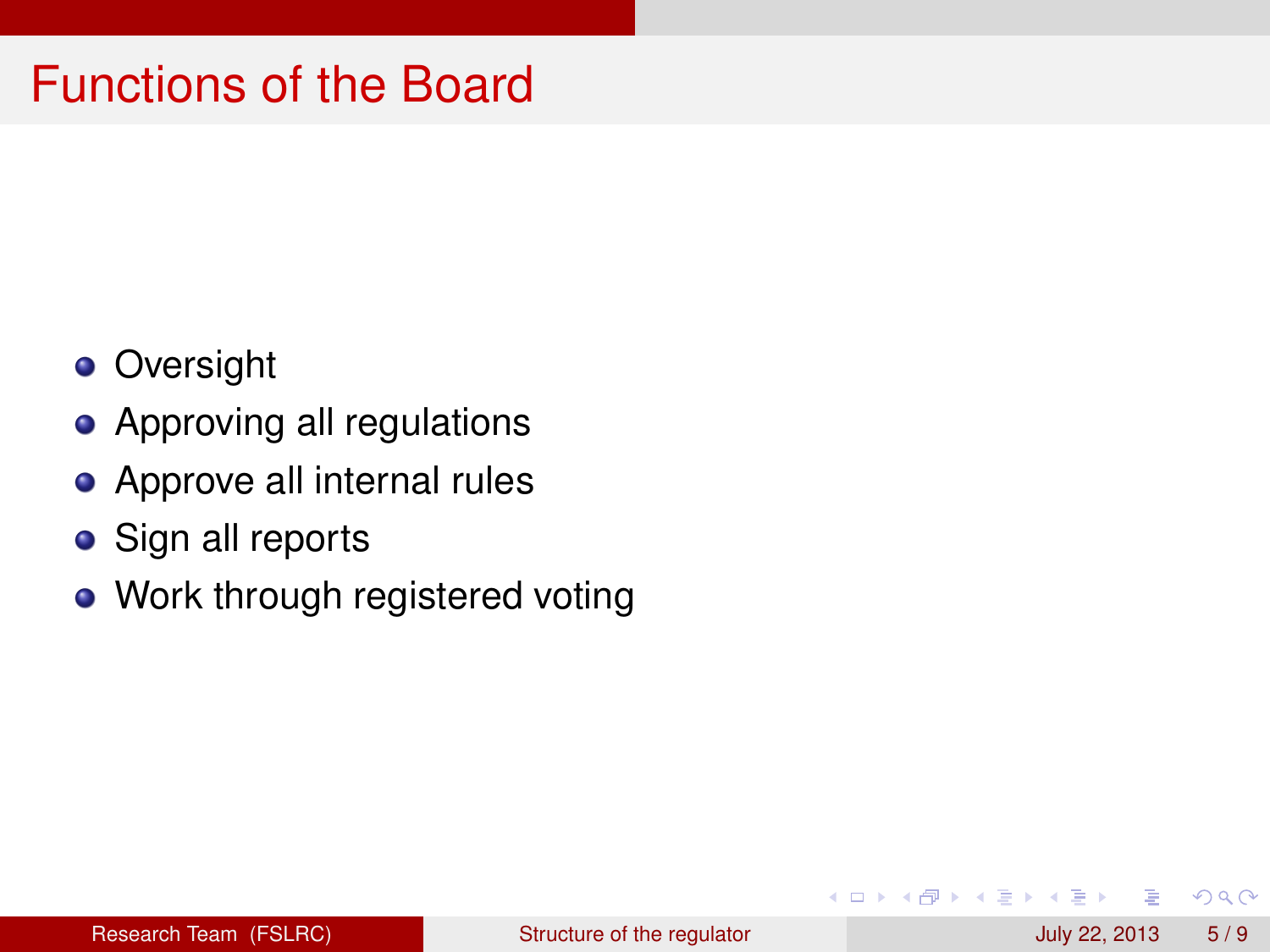### Functions of the Board

- **•** Oversight
- Approving all regulations
- Approve all internal rules
- **•** Sign all reports
- Work through registered voting

 $\sim$ ÷.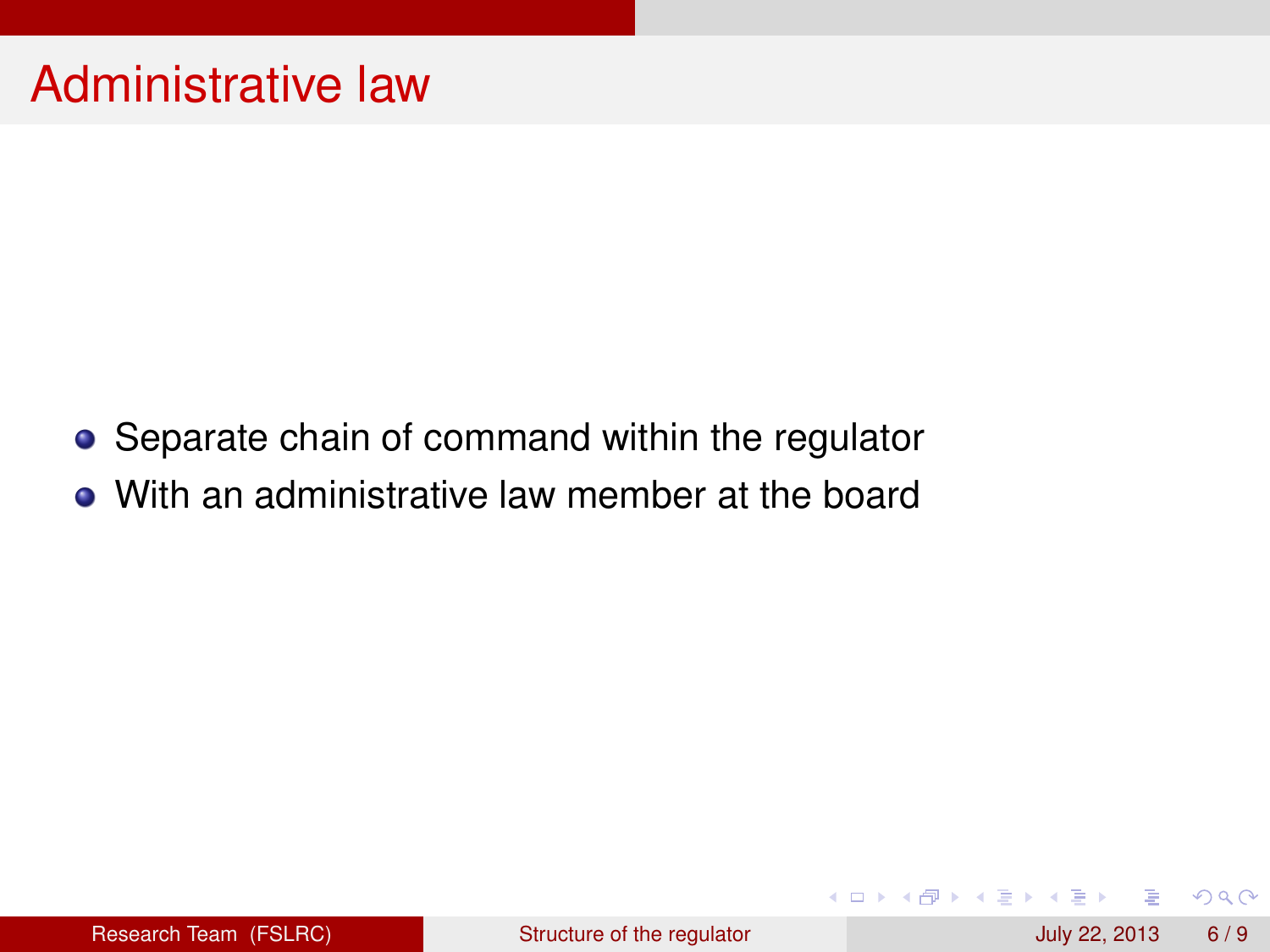- Separate chain of command within the regulator
- With an administrative law member at the board

4 0 8 1  $\overline{AB}$ 

 $\rightarrow$   $\equiv$   $\rightarrow$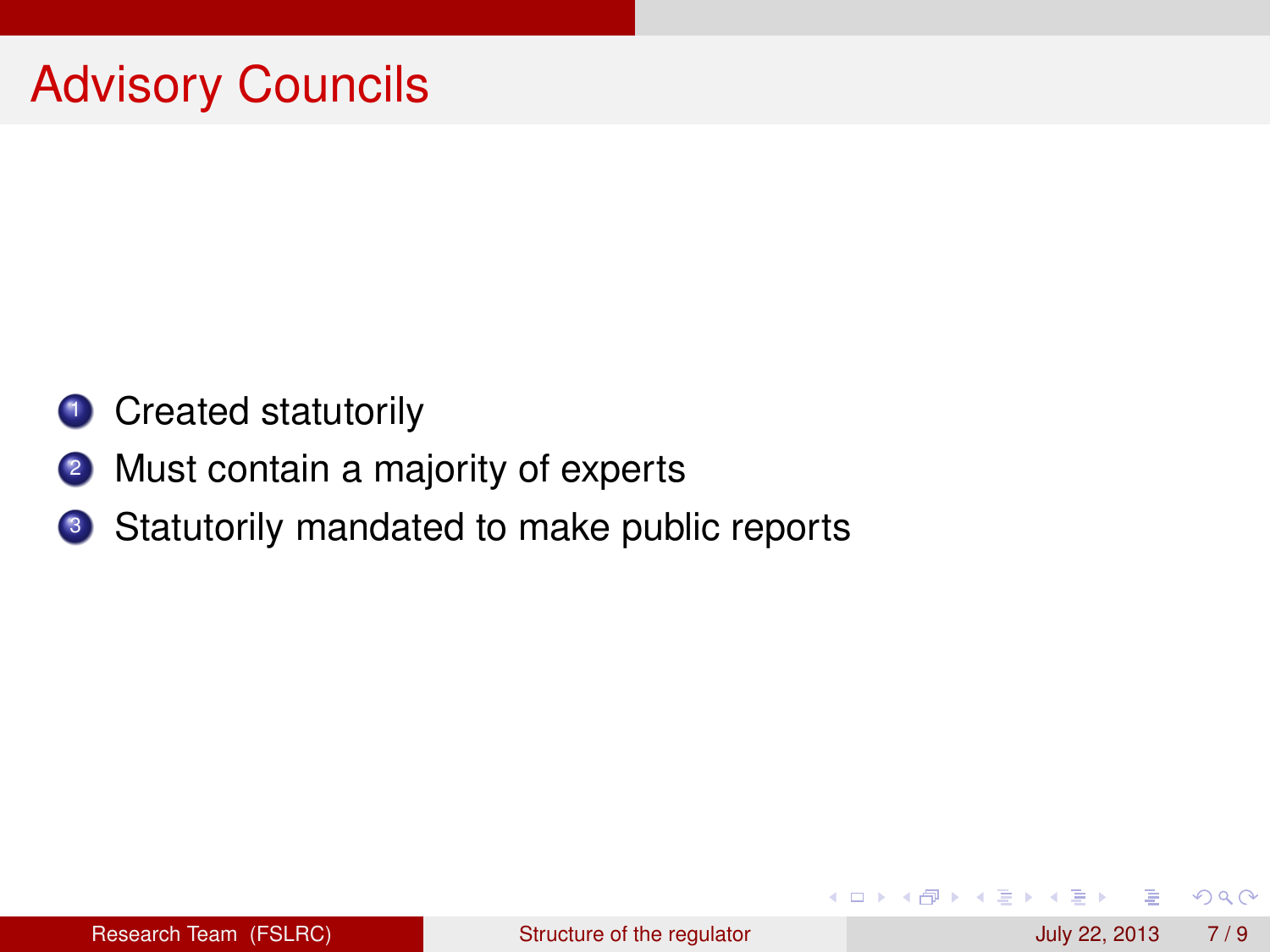- **1** Created statutorily
- 2 Must contain a majority of experts
- <sup>3</sup> Statutorily mandated to make public reports

 $\Omega$ 

4 ロ ト ィ *同* ト

**B** K ×. B.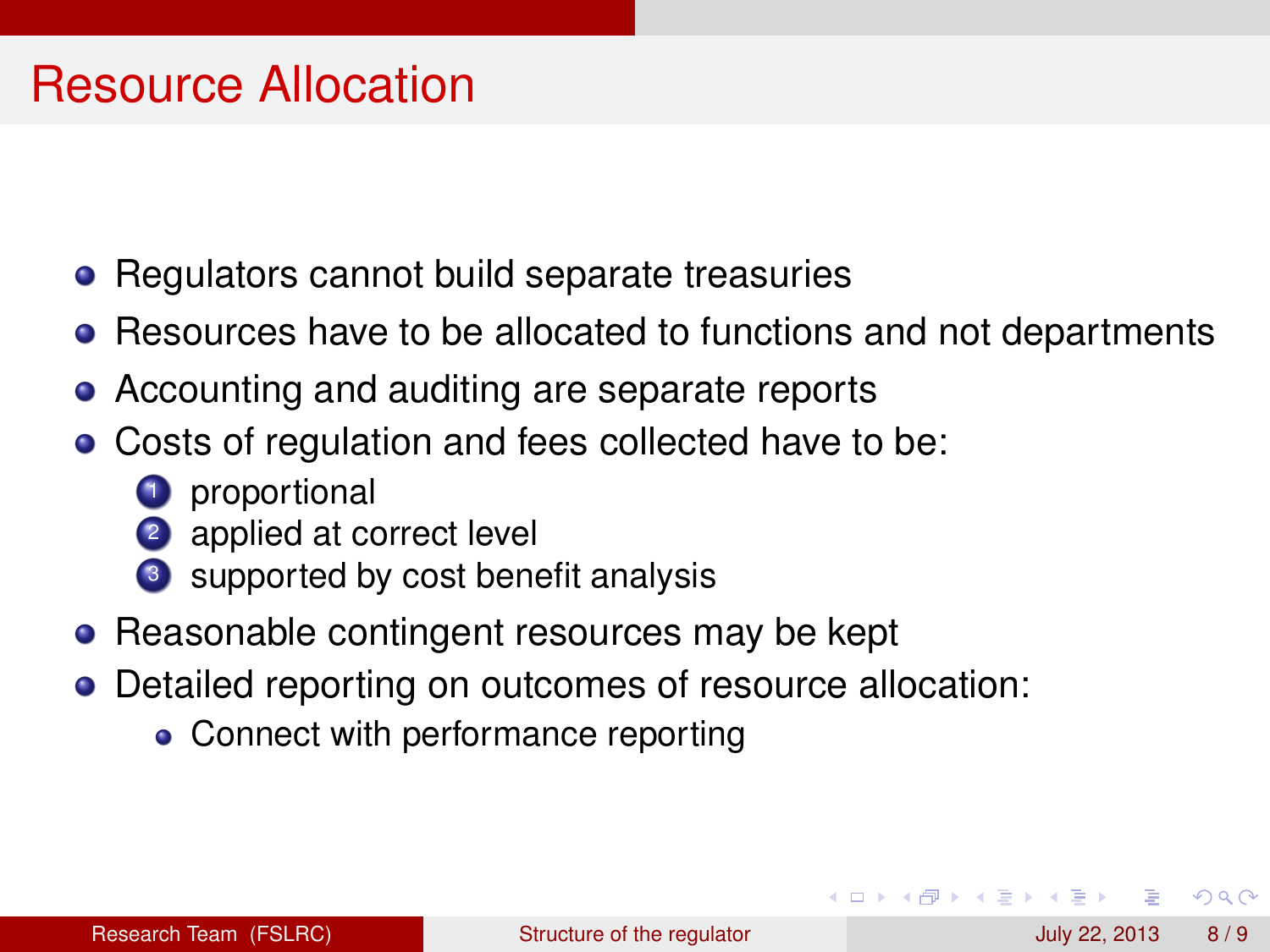#### Resource Allocation

- Regulators cannot build separate treasuries
- Resources have to be allocated to functions and not departments
- Accounting and auditing are separate reports
- Costs of regulation and fees collected have to be:
	- **1** proportional
	- 2 applied at correct level
	- <sup>3</sup> supported by cost benefit analysis
- Reasonable contingent resources may be kept
- Detailed reporting on outcomes of resource allocation:
	- Connect with performance reporting

 $\Omega$ 

AD > 3 B > 3 B